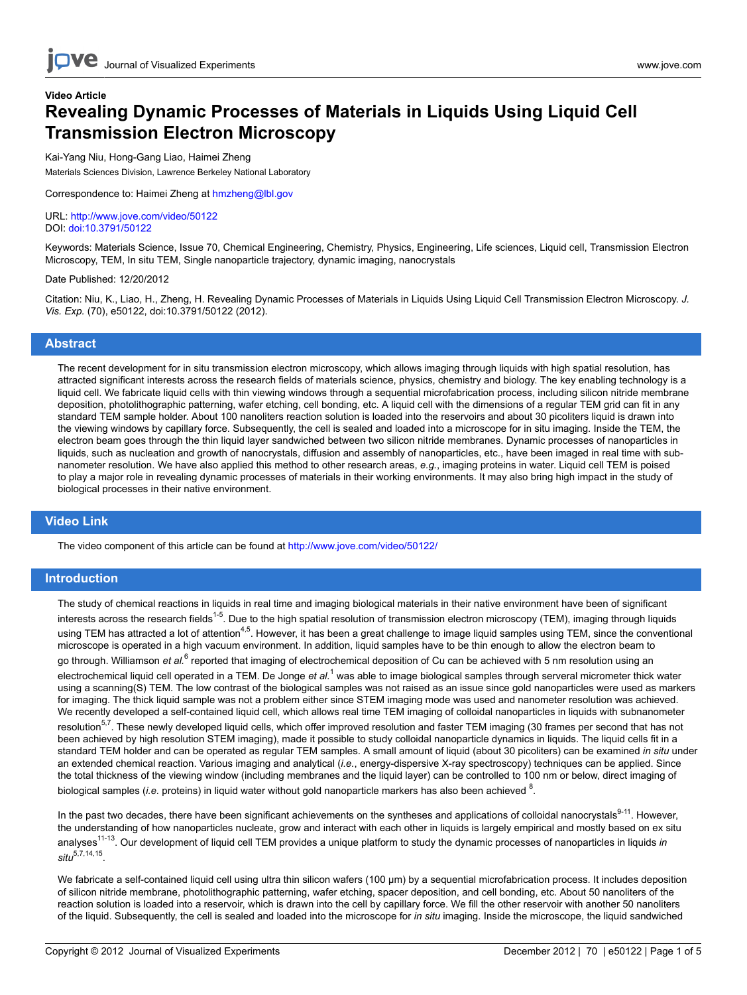# **Video Article Revealing Dynamic Processes of Materials in Liquids Using Liquid Cell Transmission Electron Microscopy**

Kai-Yang Niu, Hong-Gang Liao, Haimei Zheng Materials Sciences Division, Lawrence Berkeley National Laboratory

Correspondence to: Haimei Zheng at [hmzheng@lbl.gov](mailto:hmzheng@lbl.gov)

URL:<http://www.jove.com/video/50122> DOI: [doi:10.3791/50122](http://dx.doi.org/10.3791/50122)

Keywords: Materials Science, Issue 70, Chemical Engineering, Chemistry, Physics, Engineering, Life sciences, Liquid cell, Transmission Electron Microscopy, TEM, In situ TEM, Single nanoparticle trajectory, dynamic imaging, nanocrystals

#### Date Published: 12/20/2012

Citation: Niu, K., Liao, H., Zheng, H. Revealing Dynamic Processes of Materials in Liquids Using Liquid Cell Transmission Electron Microscopy. *J. Vis. Exp.* (70), e50122, doi:10.3791/50122 (2012).

### **Abstract**

The recent development for in situ transmission electron microscopy, which allows imaging through liquids with high spatial resolution, has attracted significant interests across the research fields of materials science, physics, chemistry and biology. The key enabling technology is a liquid cell. We fabricate liquid cells with thin viewing windows through a sequential microfabrication process, including silicon nitride membrane deposition, photolithographic patterning, wafer etching, cell bonding, etc. A liquid cell with the dimensions of a regular TEM grid can fit in any standard TEM sample holder. About 100 nanoliters reaction solution is loaded into the reservoirs and about 30 picoliters liquid is drawn into the viewing windows by capillary force. Subsequently, the cell is sealed and loaded into a microscope for in situ imaging. Inside the TEM, the electron beam goes through the thin liquid layer sandwiched between two silicon nitride membranes. Dynamic processes of nanoparticles in liquids, such as nucleation and growth of nanocrystals, diffusion and assembly of nanoparticles, etc., have been imaged in real time with subnanometer resolution. We have also applied this method to other research areas, *e.g.*, imaging proteins in water. Liquid cell TEM is poised to play a major role in revealing dynamic processes of materials in their working environments. It may also bring high impact in the study of biological processes in their native environment.

### **Video Link**

The video component of this article can be found at <http://www.jove.com/video/50122/>

### **Introduction**

The study of chemical reactions in liquids in real time and imaging biological materials in their native environment have been of significant interests across the research fields<sup>1-5</sup>. Due to the high spatial resolution of transmission electron microscopy (TEM), imaging through liguids using TEM has attracted a lot of attention<sup>4,5</sup>. However, it has been a great challenge to image liquid samples using TEM, since the conventional microscope is operated in a high vacuum environment. In addition, liquid samples have to be thin enough to allow the electron beam to go through. Williamson *et al.<sup>6</sup> reported that imaging of electrochemical deposition of Cu can be achieved with 5 nm resolution using an* electrochemical liquid cell operated in a TEM. De Jonge *et al.*<sup>1</sup> was able to image biological samples through serveral micrometer thick water using a scanning(S) TEM. The low contrast of the biological samples was not raised as an issue since gold nanoparticles were used as markers for imaging. The thick liquid sample was not a problem either since STEM imaging mode was used and nanometer resolution was achieved. We recently developed a self-contained liquid cell, which allows real time TEM imaging of colloidal nanoparticles in liquids with subnanometer resolution<sup>5,7</sup>. These newly developed liquid cells, which offer improved resolution and faster TEM imaging (30 frames per second that has not been achieved by high resolution STEM imaging), made it possible to study colloidal nanoparticle dynamics in liquids. The liquid cells fit in a standard TEM holder and can be operated as regular TEM samples. A small amount of liquid (about 30 picoliters) can be examined *in situ* under an extended chemical reaction. Various imaging and analytical (*i.e.*, energy-dispersive X-ray spectroscopy) techniques can be applied. Since the total thickness of the viewing window (including membranes and the liquid layer) can be controlled to 100 nm or below, direct imaging of biological samples (*i.e.* proteins) in liquid water without gold nanoparticle markers has also been achieved <sup>8</sup>.

In the past two decades, there have been significant achievements on the syntheses and applications of colloidal nanocrystals $9-11$ . However, the understanding of how nanoparticles nucleate, grow and interact with each other in liquids is largely empirical and mostly based on ex situ analyses11-13. Our development of liquid cell TEM provides a unique platform to study the dynamic processes of nanoparticles in liquids *in situ*5,7,14,15 .

We fabricate a self-contained liquid cell using ultra thin silicon wafers (100 μm) by a sequential microfabrication process. It includes deposition of silicon nitride membrane, photolithographic patterning, wafer etching, spacer deposition, and cell bonding, etc. About 50 nanoliters of the reaction solution is loaded into a reservoir, which is drawn into the cell by capillary force. We fill the other reservoir with another 50 nanoliters of the liquid. Subsequently, the cell is sealed and loaded into the microscope for *in situ* imaging. Inside the microscope, the liquid sandwiched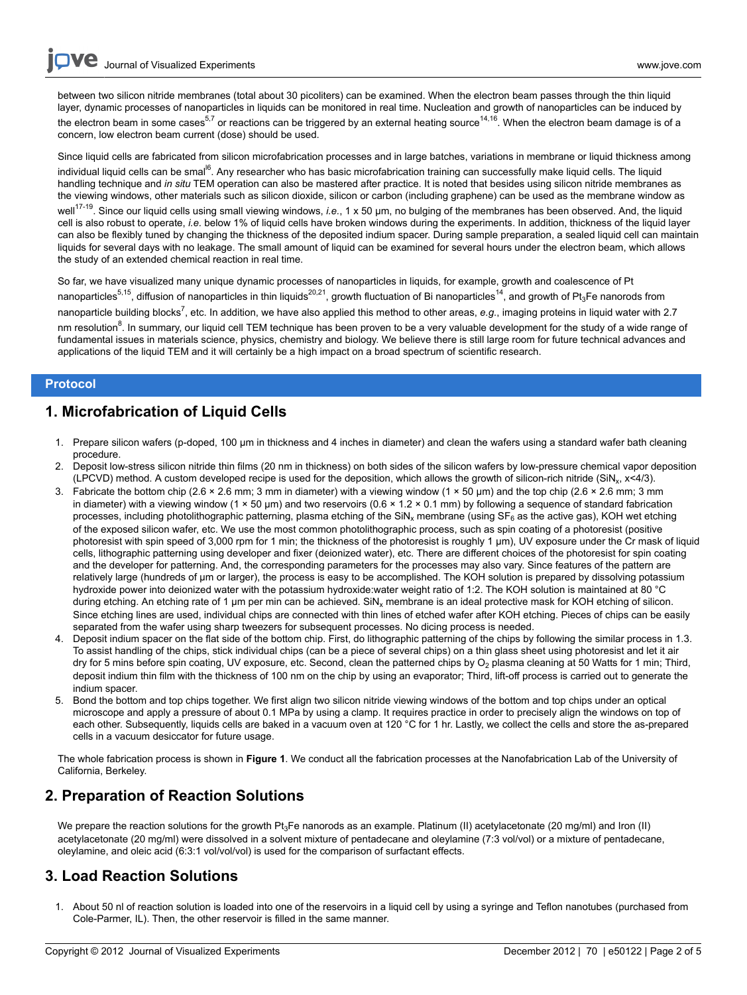**Dve** [Journal of Visualized Experiments](http://www.jove.com) [www.jove.com](http://www.jove.com)

between two silicon nitride membranes (total about 30 picoliters) can be examined. When the electron beam passes through the thin liquid layer, dynamic processes of nanoparticles in liquids can be monitored in real time. Nucleation and growth of nanoparticles can be induced by the electron beam in some cases<sup>5,7</sup> or reactions can be triggered by an external heating source<sup>14,16</sup>. When the electron beam damage is of a concern, low electron beam current (dose) should be used.

Since liquid cells are fabricated from silicon microfabrication processes and in large batches, variations in membrane or liquid thickness among individual liquid cells can be smal<sup>i6</sup>. Any researcher who has basic microfabrication training can successfully make liquid cells. The liquid handling technique and *in situ* TEM operation can also be mastered after practice. It is noted that besides using silicon nitride membranes as the viewing windows, other materials such as silicon dioxide, silicon or carbon (including graphene) can be used as the membrane window as well<sup>17-19</sup>. Since our liquid cells using small viewing windows, *i.e.*, 1 x 50 μm, no bulging of the membranes has been observed. And, the liquid cell is also robust to operate, *i.e.* below 1% of liquid cells have broken windows during the experiments. In addition, thickness of the liquid layer can also be flexibly tuned by changing the thickness of the deposited indium spacer. During sample preparation, a sealed liquid cell can maintain liquids for several days with no leakage. The small amount of liquid can be examined for several hours under the electron beam, which allows the study of an extended chemical reaction in real time.

So far, we have visualized many unique dynamic processes of nanoparticles in liquids, for example, growth and coalescence of Pt nanoparticles<sup>5,15</sup>, diffusion of nanoparticles in thin liquids<sup>20,21</sup>, growth fluctuation of Bi nanoparticles<sup>14</sup>, and growth of Pt<sub>3</sub>Fe nanorods from

nanoparticle building blocks<sup>7</sup>, etc. In addition, we have also applied this method to other areas, e.g., imaging proteins in liquid water with 2.7 nm resolution<sup>8</sup>. In summary, our liquid cell TEM technique has been proven to be a very valuable development for the study of a wide range of fundamental issues in materials science, physics, chemistry and biology. We believe there is still large room for future technical advances and applications of the liquid TEM and it will certainly be a high impact on a broad spectrum of scientific research.

### **Protocol**

### **1. Microfabrication of Liquid Cells**

- 1. Prepare silicon wafers (p-doped, 100 μm in thickness and 4 inches in diameter) and clean the wafers using a standard wafer bath cleaning procedure.
- 2. Deposit low-stress silicon nitride thin films (20 nm in thickness) on both sides of the silicon wafers by low-pressure chemical vapor deposition (LPCVD) method. A custom developed recipe is used for the deposition, which allows the growth of silicon-rich nitride (SiN<sup>x</sup> , x<4/3).
- 3. Fabricate the bottom chip (2.6 × 2.6 mm; 3 mm in diameter) with a viewing window (1 × 50 µm) and the top chip (2.6 × 2.6 mm; 3 mm in diameter) with a viewing window (1 × 50 µm) and two reservoirs (0.6 × 1.2 × 0.1 mm) by following a sequence of standard fabrication processes, including photolithographic patterning, plasma etching of the SiN<sub>x</sub> membrane (using SF<sub>6</sub> as the active gas), KOH wet etching of the exposed silicon wafer, etc. We use the most common photolithographic process, such as spin coating of a photoresist (positive photoresist with spin speed of 3,000 rpm for 1 min; the thickness of the photoresist is roughly 1 μm), UV exposure under the Cr mask of liquid cells, lithographic patterning using developer and fixer (deionized water), etc. There are different choices of the photoresist for spin coating and the developer for patterning. And, the corresponding parameters for the processes may also vary. Since features of the pattern are relatively large (hundreds of μm or larger), the process is easy to be accomplished. The KOH solution is prepared by dissolving potassium hydroxide power into deionized water with the potassium hydroxide:water weight ratio of 1:2. The KOH solution is maintained at 80 °C during etching. An etching rate of 1 μm per min can be achieved. SiN<sub>x</sub> membrane is an ideal protective mask for KOH etching of silicon. Since etching lines are used, individual chips are connected with thin lines of etched wafer after KOH etching. Pieces of chips can be easily separated from the wafer using sharp tweezers for subsequent processes. No dicing process is needed.
- 4. Deposit indium spacer on the flat side of the bottom chip. First, do lithographic patterning of the chips by following the similar process in 1.3. To assist handling of the chips, stick individual chips (can be a piece of several chips) on a thin glass sheet using photoresist and let it air dry for 5 mins before spin coating, UV exposure, etc. Second, clean the patterned chips by O<sub>2</sub> plasma cleaning at 50 Watts for 1 min; Third, deposit indium thin film with the thickness of 100 nm on the chip by using an evaporator; Third, lift-off process is carried out to generate the indium spacer.
- 5. Bond the bottom and top chips together. We first align two silicon nitride viewing windows of the bottom and top chips under an optical microscope and apply a pressure of about 0.1 MPa by using a clamp. It requires practice in order to precisely align the windows on top of each other. Subsequently, liquids cells are baked in a vacuum oven at 120 °C for 1 hr. Lastly, we collect the cells and store the as-prepared cells in a vacuum desiccator for future usage.

The whole fabrication process is shown in **Figure 1**. We conduct all the fabrication processes at the Nanofabrication Lab of the University of California, Berkeley.

## **2. Preparation of Reaction Solutions**

We prepare the reaction solutions for the growth  $Pt_3Fe$  nanorods as an example. Platinum (II) acetylacetonate (20 mg/ml) and Iron (II) acetylacetonate (20 mg/ml) were dissolved in a solvent mixture of pentadecane and oleylamine (7:3 vol/vol) or a mixture of pentadecane, oleylamine, and oleic acid (6:3:1 vol/vol/vol) is used for the comparison of surfactant effects.

## **3. Load Reaction Solutions**

1. About 50 nl of reaction solution is loaded into one of the reservoirs in a liquid cell by using a syringe and Teflon nanotubes (purchased from Cole-Parmer, IL). Then, the other reservoir is filled in the same manner.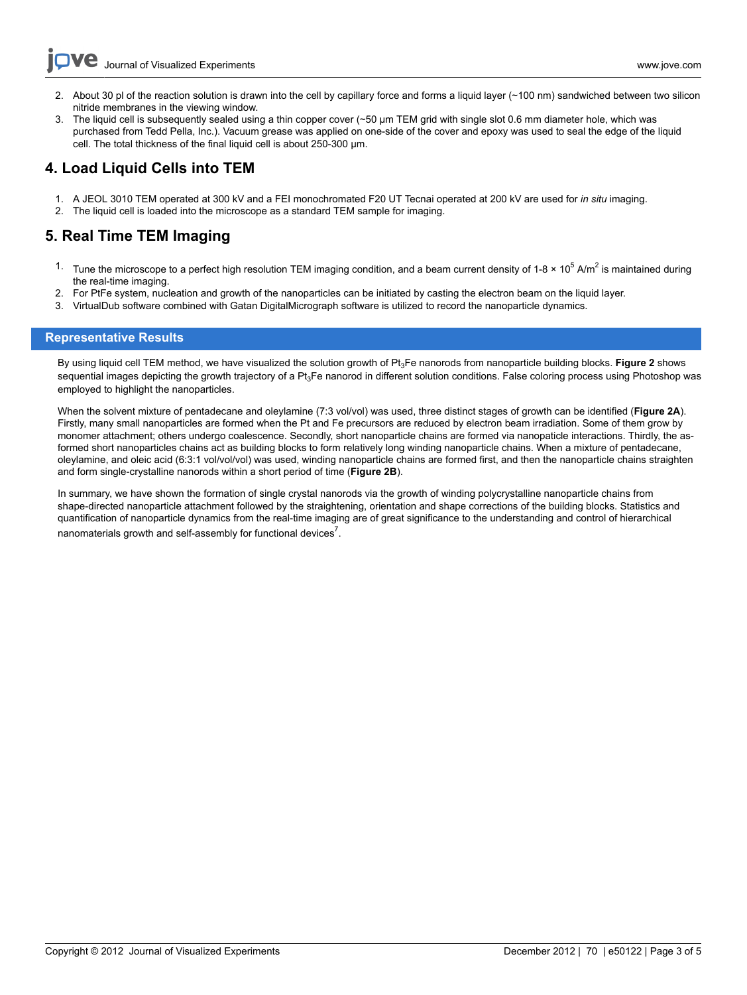**Ove** [Journal of Visualized Experiments](http://www.jove.com) [www.jove.com](http://www.jove.com)

- 2. About 30 pl of the reaction solution is drawn into the cell by capillary force and forms a liquid layer (~100 nm) sandwiched between two silicon nitride membranes in the viewing window.
- 3. The liquid cell is subsequently sealed using a thin copper cover (~50 μm TEM grid with single slot 0.6 mm diameter hole, which was purchased from Tedd Pella, Inc.). Vacuum grease was applied on one-side of the cover and epoxy was used to seal the edge of the liquid cell. The total thickness of the final liquid cell is about 250-300 μm.

## **4. Load Liquid Cells into TEM**

- 1. A JEOL 3010 TEM operated at 300 kV and a FEI monochromated F20 UT Tecnai operated at 200 kV are used for *in situ* imaging.
- 2. The liquid cell is loaded into the microscope as a standard TEM sample for imaging.

# **5. Real Time TEM Imaging**

- <sup>1.</sup> Tune the microscope to a perfect high resolution TEM imaging condition, and a beam current density of 1-8 × 10<sup>5</sup> A/m<sup>2</sup> is maintained during the real-time imaging.
- 2. For PtFe system, nucleation and growth of the nanoparticles can be initiated by casting the electron beam on the liquid layer.
- 3. VirtualDub software combined with Gatan DigitalMicrograph software is utilized to record the nanoparticle dynamics.

### **Representative Results**

By using liquid cell TEM method, we have visualized the solution growth of Pt<sub>3</sub>Fe nanorods from nanoparticle building blocks. Figure 2 shows sequential images depicting the growth trajectory of a Pt<sub>3</sub>Fe nanorod in different solution conditions. False coloring process using Photoshop was employed to highlight the nanoparticles.

When the solvent mixture of pentadecane and oleylamine (7:3 vol/vol) was used, three distinct stages of growth can be identified (**Figure 2A**). Firstly, many small nanoparticles are formed when the Pt and Fe precursors are reduced by electron beam irradiation. Some of them grow by monomer attachment; others undergo coalescence. Secondly, short nanoparticle chains are formed via nanopaticle interactions. Thirdly, the asformed short nanoparticles chains act as building blocks to form relatively long winding nanoparticle chains. When a mixture of pentadecane, oleylamine, and oleic acid (6:3:1 vol/vol/vol) was used, winding nanoparticle chains are formed first, and then the nanoparticle chains straighten and form single-crystalline nanorods within a short period of time (**Figure 2B**).

In summary, we have shown the formation of single crystal nanorods via the growth of winding polycrystalline nanoparticle chains from shape-directed nanoparticle attachment followed by the straightening, orientation and shape corrections of the building blocks. Statistics and quantification of nanoparticle dynamics from the real-time imaging are of great significance to the understanding and control of hierarchical nanomaterials growth and self-assembly for functional devices<sup>7</sup>.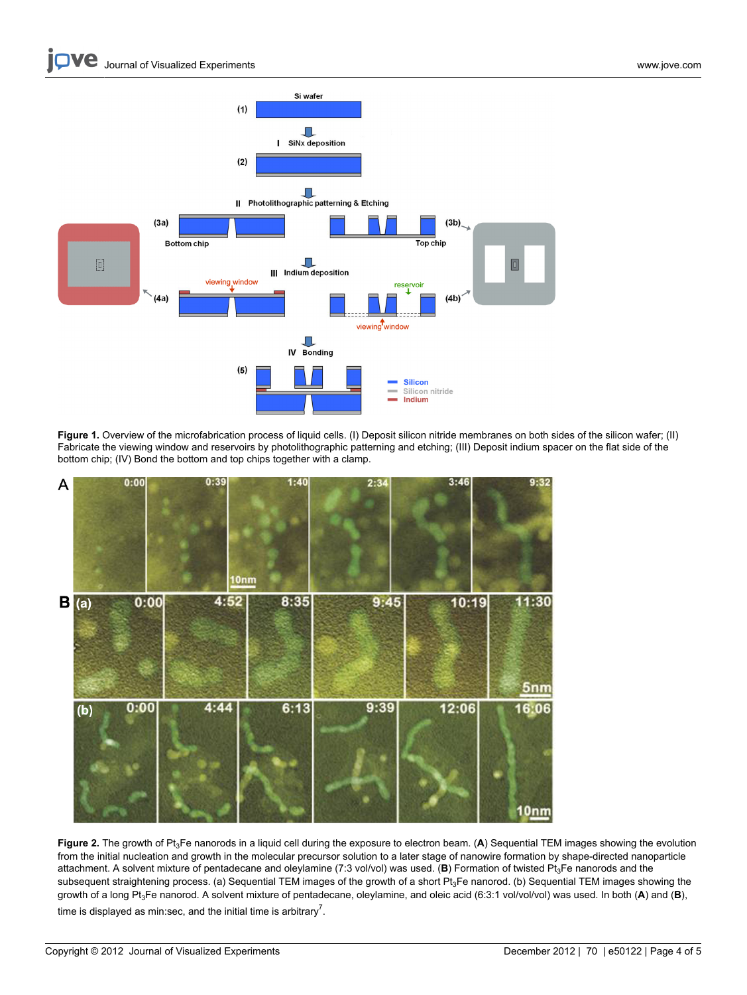

**Figure 1.** Overview of the microfabrication process of liquid cells. (I) Deposit silicon nitride membranes on both sides of the silicon wafer; (II) Fabricate the viewing window and reservoirs by photolithographic patterning and etching; (III) Deposit indium spacer on the flat side of the bottom chip; (IV) Bond the bottom and top chips together with a clamp.



Figure 2. The growth of Pt<sub>3</sub>Fe nanorods in a liquid cell during the exposure to electron beam. (A) Sequential TEM images showing the evolution from the initial nucleation and growth in the molecular precursor solution to a later stage of nanowire formation by shape-directed nanoparticle attachment. A solvent mixture of pentadecane and oleylamine (7:3 vol/vol) was used. (**B**) Formation of twisted Pt3Fe nanorods and the subsequent straightening process. (a) Sequential TEM images of the growth of a short Pt<sub>3</sub>Fe nanorod. (b) Sequential TEM images showing the growth of a long Pt3Fe nanorod. A solvent mixture of pentadecane, oleylamine, and oleic acid (6:3:1 vol/vol/vol) was used. In both (**A**) and (**B**), time is displayed as min:sec, and the initial time is arbitrary<sup>7</sup>.